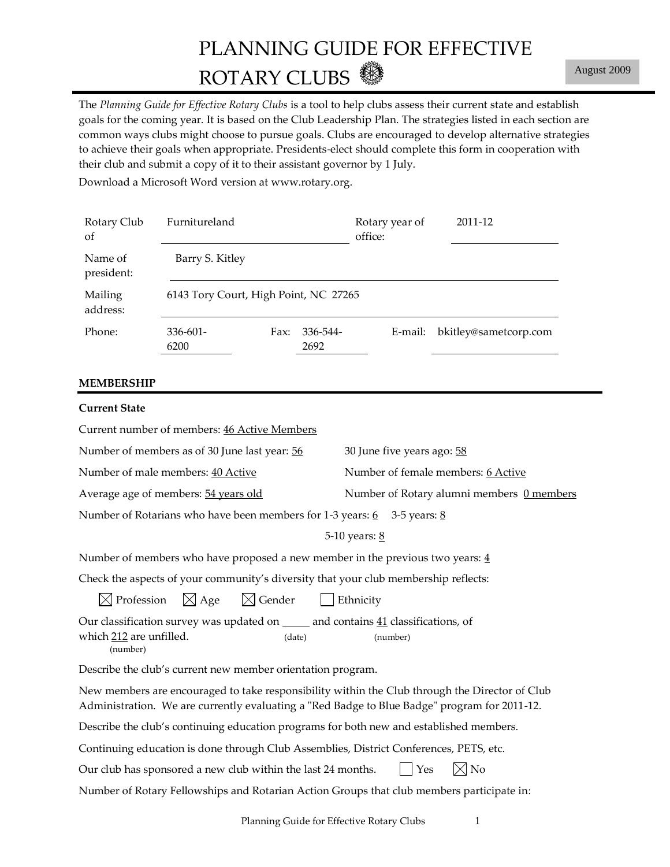# PLANNING GUIDE FOR EFFECTIVE ROTARY CLUBS

The *Planning Guide for Effective Rotary Clubs* is a tool to help clubs assess their current state and establish goals for the coming year. It is based on the Club Leadership Plan. The strategies listed in each section are common ways clubs might choose to pursue goals. Clubs are encouraged to develop alternative strategies to achieve their goals when appropriate. Presidents-elect should complete this form in cooperation with their club and submit a copy of it to their assistant governor by 1 July.

Download a Microsoft Word version at www.rotary.org.

| Rotary Club<br>of     | Furnitureland                         |      |                  | Rotary year of<br>office: | 2011-12               |
|-----------------------|---------------------------------------|------|------------------|---------------------------|-----------------------|
| Name of<br>president: | Barry S. Kitley                       |      |                  |                           |                       |
| Mailing<br>address:   | 6143 Tory Court, High Point, NC 27265 |      |                  |                           |                       |
| Phone:                | $336 - 601 -$<br>6200                 | Fax: | 336-544-<br>2692 | E-mail:                   | bkitley@sametcorp.com |

#### **MEMBERSHIP**

| <b>Current State</b>                                                                                                                                                                           |                                           |  |  |  |
|------------------------------------------------------------------------------------------------------------------------------------------------------------------------------------------------|-------------------------------------------|--|--|--|
| Current number of members: 46 Active Members                                                                                                                                                   |                                           |  |  |  |
| Number of members as of 30 June last year: 56                                                                                                                                                  | 30 June five years ago: 58                |  |  |  |
| Number of male members: 40 Active                                                                                                                                                              | Number of female members: 6 Active        |  |  |  |
| Average age of members: 54 years old                                                                                                                                                           | Number of Rotary alumni members 0 members |  |  |  |
| Number of Rotarians who have been members for 1-3 years: $6\overline{3}$ 3-5 years: 8                                                                                                          |                                           |  |  |  |
|                                                                                                                                                                                                | 5-10 years: 8                             |  |  |  |
| Number of members who have proposed a new member in the previous two years: $\frac{4}{3}$                                                                                                      |                                           |  |  |  |
| Check the aspects of your community's diversity that your club membership reflects:                                                                                                            |                                           |  |  |  |
| $\boxtimes$ Profession $\boxtimes$ Age $\boxtimes$ Gender                                                                                                                                      | Ethnicity                                 |  |  |  |
| Our classification survey was updated on _____ and contains 41 classifications, of<br>which 212 are unfilled.<br>(date)<br>(number)                                                            | (number)                                  |  |  |  |
| Describe the club's current new member orientation program.                                                                                                                                    |                                           |  |  |  |
| New members are encouraged to take responsibility within the Club through the Director of Club<br>Administration. We are currently evaluating a "Red Badge to Blue Badge" program for 2011-12. |                                           |  |  |  |
| Describe the club's continuing education programs for both new and established members.                                                                                                        |                                           |  |  |  |
| Continuing education is done through Club Assemblies, District Conferences, PETS, etc.                                                                                                         |                                           |  |  |  |
| Our club has sponsored a new club within the last 24 months.                                                                                                                                   | $\boxtimes$ No<br>Yes                     |  |  |  |
| Number of Rotary Fellowships and Rotarian Action Groups that club members participate in:                                                                                                      |                                           |  |  |  |
|                                                                                                                                                                                                |                                           |  |  |  |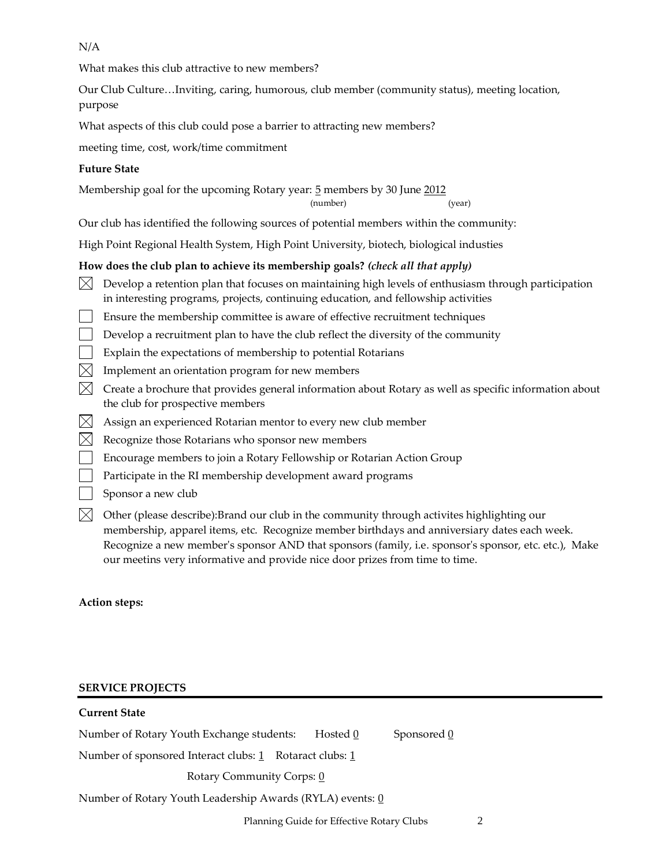N/A

What makes this club attractive to new members?

Our Club Culture…Inviting, caring, humorous, club member (community status), meeting location, purpose

What aspects of this club could pose a barrier to attracting new members?

meeting time, cost, work/time commitment

## **Future State**

Membership goal for the upcoming Rotary year: 5 members by 30 June 2012

(number) (year)

Our club has identified the following sources of potential members within the community:

High Point Regional Health System, High Point University, biotech, biological industies

## **How does the club plan to achieve its membership goals?** *(check all that apply)*

- $\bowtie$  Develop a retention plan that focuses on maintaining high levels of enthusiasm through participation in interesting programs, projects, continuing education, and fellowship activities
- Ensure the membership committee is aware of effective recruitment techniques
- $\Box$  Develop a recruitment plan to have the club reflect the diversity of the community
- $\vert \ \vert$  Explain the expectations of membership to potential Rotarians
- $\bowtie$  Implement an orientation program for new members
- $\bowtie$  Create a brochure that provides general information about Rotary as well as specific information about the club for prospective members
- $\boxtimes$  Assign an experienced Rotarian mentor to every new club member
- $\boxtimes$  Recognize those Rotarians who sponsor new members
- Encourage members to join a Rotary Fellowship or Rotarian Action Group
- $\vert \ \vert$  Participate in the RI membership development award programs
- Sponsor a new club
- $\boxtimes$  Other (please describe):Brand our club in the community through activites highlighting our membership, apparel items, etc. Recognize member birthdays and anniversiary dates each week. Recognize a new member's sponsor AND that sponsors (family, i.e. sponsor's sponsor, etc. etc.), Make our meetins very informative and provide nice door prizes from time to time.

**Action steps:**

## **SERVICE PROJECTS**

| <b>Current State</b>                                      |                                                                                                                                                                                    |             |
|-----------------------------------------------------------|------------------------------------------------------------------------------------------------------------------------------------------------------------------------------------|-------------|
| Number of Rotary Youth Exchange students:                 | Hosted 0                                                                                                                                                                           | Sponsored 0 |
| Number of sponsored Interact clubs: 1 Rotaract clubs: 1   |                                                                                                                                                                                    |             |
| Rotary Community Corps: 0                                 |                                                                                                                                                                                    |             |
| Number of Rotary Youth Leadership Awards (RYLA) events: 0 |                                                                                                                                                                                    |             |
|                                                           | $\mathbf{D1}$ , $\mathbf{C}$ , $\mathbf{A}$ , $\mathbf{C}$ , $\mathbf{D}$ , $\mathbf{C}$ , $\mathbf{D}$ , $\mathbf{D}$ , $\mathbf{C}$ , $\mathbf{D}$ , $\mathbf{L}$ , $\mathbf{C}$ | $\sim$      |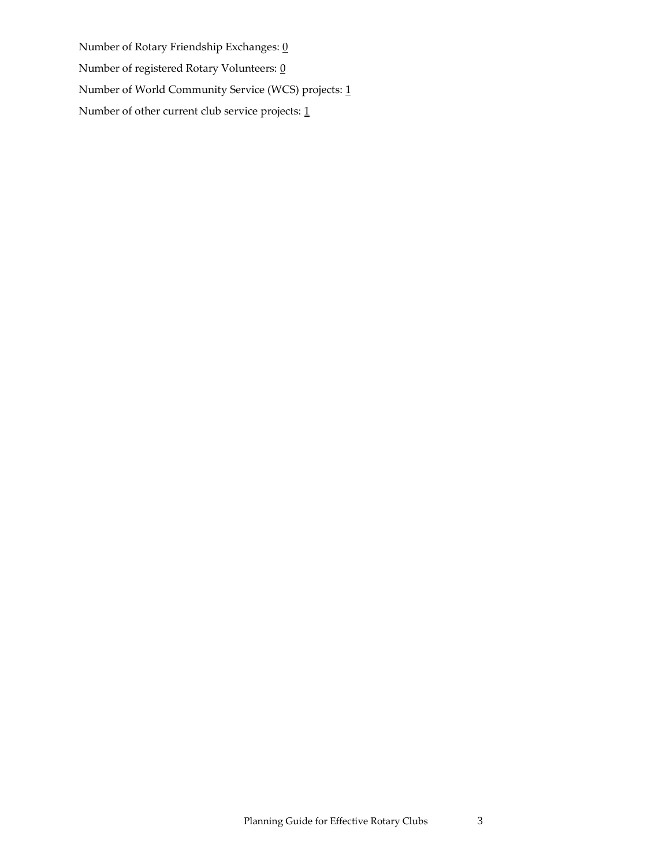Number of Rotary Friendship Exchanges:  $\underline{0}$ Number of registered Rotary Volunteers:  $\underline{0}$ Number of World Community Service (WCS) projects: 1 Number of other current club service projects: 1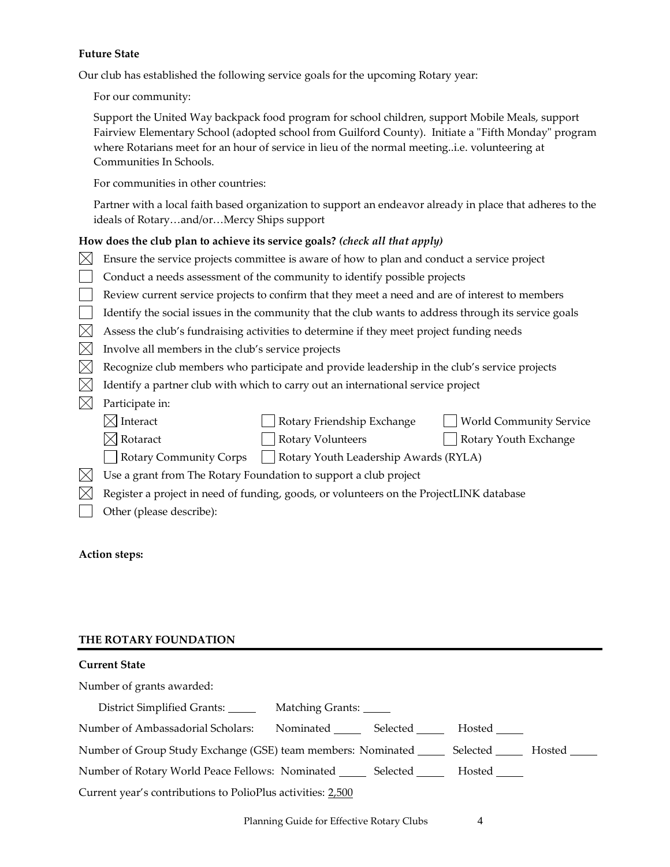## **Future State**

Our club has established the following service goals for the upcoming Rotary year:

For our community:

Support the United Way backpack food program for school children, support Mobile Meals, support Fairview Elementary School (adopted school from Guilford County). Initiate a "Fifth Monday" program where Rotarians meet for an hour of service in lieu of the normal meeting..i.e. volunteering at Communities In Schools.

For communities in other countries:

Partner with a local faith based organization to support an endeavor already in place that adheres to the ideals of Rotary…and/or…Mercy Ships support

## **How does the club plan to achieve its service goals?** *(check all that apply)*

|               | Ensure the service projects committee is aware of how to plan and conduct a service project          |  |  |  |  |  |
|---------------|------------------------------------------------------------------------------------------------------|--|--|--|--|--|
|               | Conduct a needs assessment of the community to identify possible projects                            |  |  |  |  |  |
|               | Review current service projects to confirm that they meet a need and are of interest to members      |  |  |  |  |  |
|               | Identify the social issues in the community that the club wants to address through its service goals |  |  |  |  |  |
| IX            | Assess the club's fundraising activities to determine if they meet project funding needs             |  |  |  |  |  |
| IХ            | Involve all members in the club's service projects                                                   |  |  |  |  |  |
| IХ            | Recognize club members who participate and provide leadership in the club's service projects         |  |  |  |  |  |
| IX            | Identify a partner club with which to carry out an international service project                     |  |  |  |  |  |
|               | Participate in:                                                                                      |  |  |  |  |  |
|               | $\times$ Interact<br>Rotary Friendship Exchange<br><b>World Community Service</b>                    |  |  |  |  |  |
|               | $\times$ Rotaract<br><b>Rotary Volunteers</b><br>Rotary Youth Exchange                               |  |  |  |  |  |
|               | <b>Rotary Community Corps</b><br>Rotary Youth Leadership Awards (RYLA)                               |  |  |  |  |  |
| $\mathsf{IX}$ | Use a grant from The Rotary Foundation to support a club project                                     |  |  |  |  |  |
|               | Register a project in need of funding, goods, or volunteers on the ProjectLINK database              |  |  |  |  |  |
|               | Other (please describe):                                                                             |  |  |  |  |  |
|               |                                                                                                      |  |  |  |  |  |

## **Action steps:**

## **THE ROTARY FOUNDATION**

## **Current State**

Number of grants awarded:

| District Simplified Grants: ______                                                                   | Matching Grants: |                    |        |  |
|------------------------------------------------------------------------------------------------------|------------------|--------------------|--------|--|
| Number of Ambassadorial Scholars:                                                                    |                  | Nominated Selected | Hosted |  |
| Number of Group Study Exchange (GSE) team members: Nominated ________ Selected ________ Hosted _____ |                  |                    |        |  |
| Number of Rotary World Peace Fellows: Nominated ________ Selected _________ Hosted ______            |                  |                    |        |  |
| Current year's contributions to PolioPlus activities: 2,500                                          |                  |                    |        |  |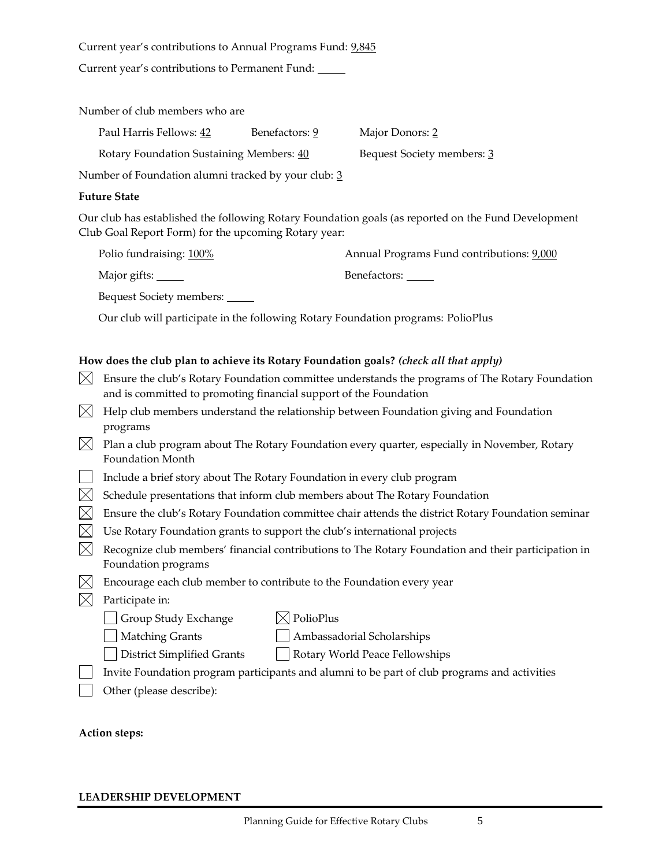Current year's contributions to Annual Programs Fund: 9,845

Current year's contributions to Permanent Fund:

Number of club members who are

| Paul Harris Fellows: 42                  | Benefactors: 9 | Major Donors: 2            |
|------------------------------------------|----------------|----------------------------|
| Rotary Foundation Sustaining Members: 40 |                | Bequest Society members: 3 |

Number of Foundation alumni tracked by your club: 3

#### **Future State**

Our club has established the following Rotary Foundation goals (as reported on the Fund Development Club Goal Report Form) for the upcoming Rotary year:

| Polio fundraising: 100%  | Annual Programs Fund contributions: 9,000 |
|--------------------------|-------------------------------------------|
| Major gifts: _____       | Benefactors: _____                        |
| Bequest Society members: |                                           |

Our club will participate in the following Rotary Foundation programs: PolioPlus

#### **How does the club plan to achieve its Rotary Foundation goals?** *(check all that apply)*

- $\boxtimes$  Ensure the club's Rotary Foundation committee understands the programs of The Rotary Foundation and is committed to promoting financial support of the Foundation
- $\boxtimes$  Help club members understand the relationship between Foundation giving and Foundation programs
- $\boxtimes$  Plan a club program about The Rotary Foundation every quarter, especially in November, Rotary Foundation Month
- Include a brief story about The Rotary Foundation in every club program
- $\boxtimes$  Schedule presentations that inform club members about The Rotary Foundation
- $\boxtimes$  Ensure the club's Rotary Foundation committee chair attends the district Rotary Foundation seminar
- $\boxtimes$  Use Rotary Foundation grants to support the club's international projects
- $\boxtimes$  Recognize club members' financial contributions to The Rotary Foundation and their participation in Foundation programs
- $\boxtimes$  Encourage each club member to contribute to the Foundation every year
- $\boxtimes$  Participate in:

 $\Box$  Group Study Exchange  $\Box$  PolioPlus

Matching Grants Ambassadorial Scholarships

District Simplified Grants Rotary World Peace Fellowships

- Invite Foundation program participants and alumni to be part of club programs and activities
- Other (please describe):

**Action steps:**

#### **LEADERSHIP DEVELOPMENT**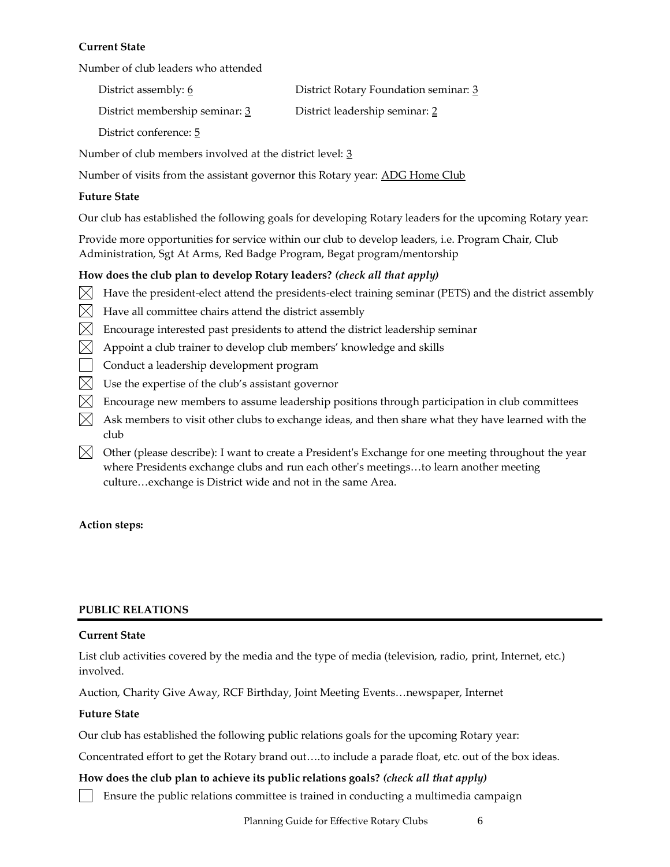## **Current State**

Number of club leaders who attended

| District assembly: 6           | District Rotary Foundation seminar: 3 |
|--------------------------------|---------------------------------------|
| District membership seminar: 3 | District leadership seminar: 2        |
| District conference: 5         |                                       |

Number of club members involved at the district level: 3

Number of visits from the assistant governor this Rotary year: ADG Home Club

#### **Future State**

Our club has established the following goals for developing Rotary leaders for the upcoming Rotary year:

Provide more opportunities for service within our club to develop leaders, i.e. Program Chair, Club Administration, Sgt At Arms, Red Badge Program, Begat program/mentorship

## **How does the club plan to develop Rotary leaders?** *(check all that apply)*

- $\boxtimes$  Have the president-elect attend the presidents-elect training seminar (PETS) and the district assembly
- $\boxtimes$  Have all committee chairs attend the district assembly
- $\boxtimes$  Encourage interested past presidents to attend the district leadership seminar
- $\boxtimes$  Appoint a club trainer to develop club members' knowledge and skills
- Conduct a leadership development program
- $\boxtimes$  Use the expertise of the club's assistant governor
- $\boxtimes$  Encourage new members to assume leadership positions through participation in club committees
- $\boxtimes$  Ask members to visit other clubs to exchange ideas, and then share what they have learned with the club
- $\boxtimes$  Other (please describe): I want to create a President's Exchange for one meeting throughout the year where Presidents exchange clubs and run each other's meetings…to learn another meeting culture…exchange is District wide and not in the same Area.

## **Action steps:**

#### **PUBLIC RELATIONS**

#### **Current State**

List club activities covered by the media and the type of media (television, radio, print, Internet, etc.) involved.

Auction, Charity Give Away, RCF Birthday, Joint Meeting Events…newspaper, Internet

#### **Future State**

Our club has established the following public relations goals for the upcoming Rotary year:

Concentrated effort to get the Rotary brand out….to include a parade float, etc. out of the box ideas.

## **How does the club plan to achieve its public relations goals?** *(check all that apply)*

Ensure the public relations committee is trained in conducting a multimedia campaign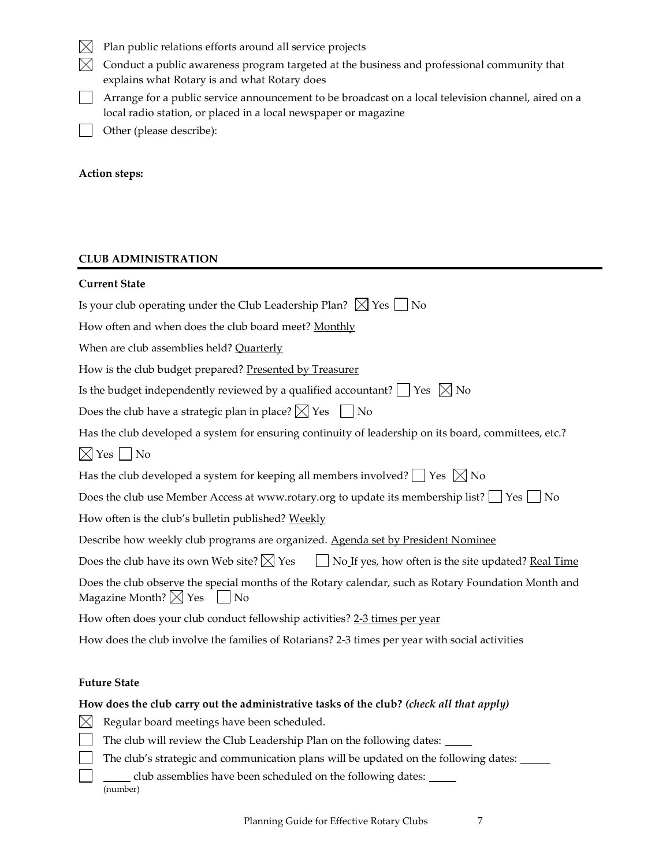- $\boxtimes$  Plan public relations efforts around all service projects
- $\boxtimes$  Conduct a public awareness program targeted at the business and professional community that explains what Rotary is and what Rotary does
- Arrange for a public service announcement to be broadcast on a local television channel, aired on a local radio station, or placed in a local newspaper or magazine
- $\perp$ Other (please describe):

## **Action steps:**

## **CLUB ADMINISTRATION**

| <b>Current State</b>                                                                                                                              |
|---------------------------------------------------------------------------------------------------------------------------------------------------|
| Is your club operating under the Club Leadership Plan? $\boxtimes$ Yes $\Box$ No                                                                  |
| How often and when does the club board meet? Monthly                                                                                              |
| When are club assemblies held? Quarterly                                                                                                          |
| How is the club budget prepared? Presented by Treasurer                                                                                           |
| Is the budget independently reviewed by a qualified accountant? $\Box$ Yes $\boxtimes$ No                                                         |
| Does the club have a strategic plan in place? $\boxtimes$ Yes $\Box$ No                                                                           |
| Has the club developed a system for ensuring continuity of leadership on its board, committees, etc.?                                             |
| $\boxtimes$ Yes No                                                                                                                                |
| Has the club developed a system for keeping all members involved? $\Box$ Yes $\boxtimes$ No                                                       |
| Does the club use Member Access at www.rotary.org to update its membership list? $\Box$ Yes $\Box$ No                                             |
| How often is the club's bulletin published? Weekly                                                                                                |
| Describe how weekly club programs are organized. Agenda set by President Nominee                                                                  |
| Does the club have its own Web site? $\boxtimes$ Yes<br>No If yes, how often is the site updated? Real Time                                       |
| Does the club observe the special months of the Rotary calendar, such as Rotary Foundation Month and<br>Magazine Month? $\boxtimes$ Yes $\Box$ No |
| How often does your club conduct fellowship activities? 2-3 times per year                                                                        |
| How does the club involve the families of Rotarians? 2-3 times per year with social activities                                                    |
|                                                                                                                                                   |
| <b>Future State</b>                                                                                                                               |
| How does the club carry out the administrative tasks of the club? (check all that apply)                                                          |
| $\boxtimes$<br>Regular board meetings have been scheduled.                                                                                        |
| The club will review the Club Leadership Plan on the following dates: ____                                                                        |
| The club's strategic and communication plans will be updated on the following dates: ____                                                         |
| club assemblies have been scheduled on the following dates:                                                                                       |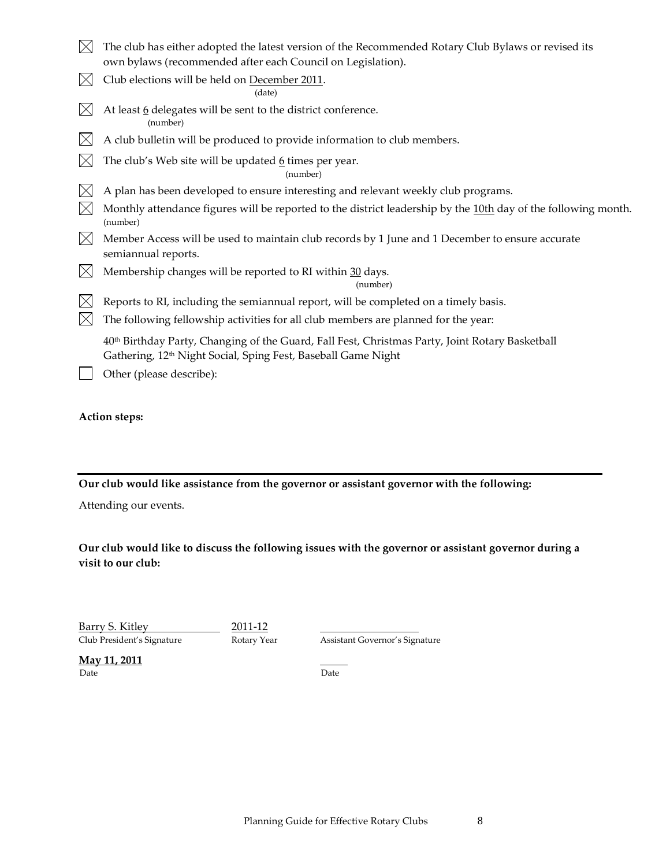- $\boxtimes$  The club has either adopted the latest version of the Recommended Rotary Club Bylaws or revised its own bylaws (recommended after each Council on Legislation).
- $\boxtimes$  Club elections will be held on December 2011.

(date)

- $\boxtimes$  At least 6 delegates will be sent to the district conference. (number)
- $\boxtimes$  A club bulletin will be produced to provide information to club members.
- $\boxtimes$ The club's Web site will be updated  $6$  times per year.

(number)

- $\boxtimes$  A plan has been developed to ensure interesting and relevant weekly club programs.
- Monthly attendance figures will be reported to the district leadership by the  $10th$  day of the following month. (number)
- $\bowtie$  Member Access will be used to maintain club records by 1 June and 1 December to ensure accurate semiannual reports.
- $\boxtimes$  Membership changes will be reported to RI within 30 days.

(number)

- $\boxtimes$  Reports to RI, including the semiannual report, will be completed on a timely basis.
- $\boxtimes$  The following fellowship activities for all club members are planned for the year:

40th Birthday Party, Changing of the Guard, Fall Fest, Christmas Party, Joint Rotary Basketball Gathering, 12<sup>th</sup> Night Social, Sping Fest, Baseball Game Night

Other (please describe):

## **Action steps:**

**Our club would like assistance from the governor or assistant governor with the following:**

Attending our events.

**Our club would like to discuss the following issues with the governor or assistant governor during a visit to our club:**

Barry S. Kitley 2011-12

Club President's Signature Rotary Year Assistant Governor's Signature

**May 11, 2011** Date **Date** Date **Date**